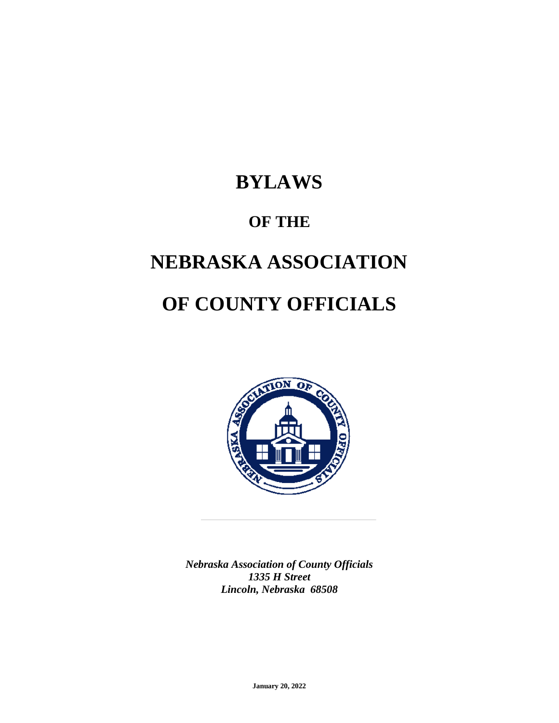# **BYLAWS**

# **OF THE**

# **NEBRASKA ASSOCIATION**

# **OF COUNTY OFFICIALS**



*Nebraska Association of County Officials 1335 H Street Lincoln, Nebraska 68508*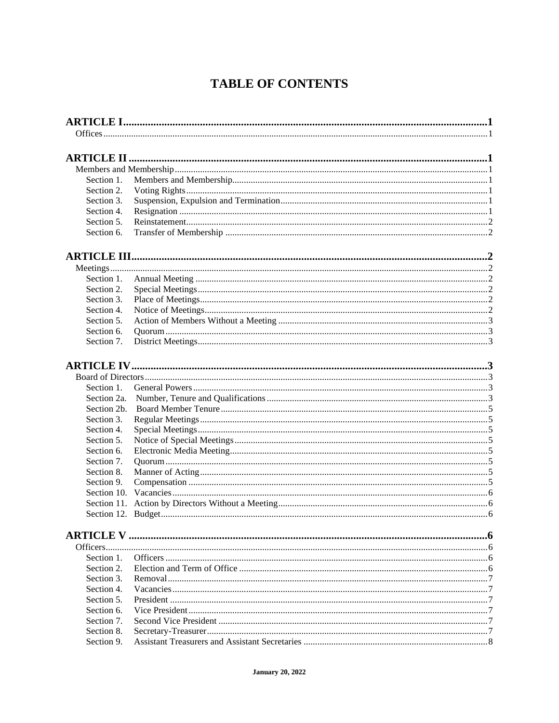# **TABLE OF CONTENTS**

| Section 1.<br>Section 2.<br>Section 3.<br>Section 4.<br>Section 5.<br>Section 6.<br>Section 1.<br>Section 2.<br>Section 3.<br>Section 4.<br>Section 5.<br>Section 6.<br>Section 7.<br>Section 1.<br>Section 2a.<br>Section 2b.<br>Section 3.<br>Section 4.<br>Section 5.<br>Section 6.<br>Section 7.<br>Section 8.<br>Section 9.<br>Section 1.<br>Section 2.<br>Section 3.<br>Section 4.<br>Section 5.<br>Section 6.<br>Section 7.<br>Section 8.<br>Section 9. |  |  |
|----------------------------------------------------------------------------------------------------------------------------------------------------------------------------------------------------------------------------------------------------------------------------------------------------------------------------------------------------------------------------------------------------------------------------------------------------------------|--|--|
|                                                                                                                                                                                                                                                                                                                                                                                                                                                                |  |  |
|                                                                                                                                                                                                                                                                                                                                                                                                                                                                |  |  |
|                                                                                                                                                                                                                                                                                                                                                                                                                                                                |  |  |
|                                                                                                                                                                                                                                                                                                                                                                                                                                                                |  |  |
|                                                                                                                                                                                                                                                                                                                                                                                                                                                                |  |  |
|                                                                                                                                                                                                                                                                                                                                                                                                                                                                |  |  |
|                                                                                                                                                                                                                                                                                                                                                                                                                                                                |  |  |
|                                                                                                                                                                                                                                                                                                                                                                                                                                                                |  |  |
|                                                                                                                                                                                                                                                                                                                                                                                                                                                                |  |  |
|                                                                                                                                                                                                                                                                                                                                                                                                                                                                |  |  |
|                                                                                                                                                                                                                                                                                                                                                                                                                                                                |  |  |
|                                                                                                                                                                                                                                                                                                                                                                                                                                                                |  |  |
|                                                                                                                                                                                                                                                                                                                                                                                                                                                                |  |  |
|                                                                                                                                                                                                                                                                                                                                                                                                                                                                |  |  |
|                                                                                                                                                                                                                                                                                                                                                                                                                                                                |  |  |
|                                                                                                                                                                                                                                                                                                                                                                                                                                                                |  |  |
|                                                                                                                                                                                                                                                                                                                                                                                                                                                                |  |  |
|                                                                                                                                                                                                                                                                                                                                                                                                                                                                |  |  |
|                                                                                                                                                                                                                                                                                                                                                                                                                                                                |  |  |
|                                                                                                                                                                                                                                                                                                                                                                                                                                                                |  |  |
|                                                                                                                                                                                                                                                                                                                                                                                                                                                                |  |  |
|                                                                                                                                                                                                                                                                                                                                                                                                                                                                |  |  |
|                                                                                                                                                                                                                                                                                                                                                                                                                                                                |  |  |
|                                                                                                                                                                                                                                                                                                                                                                                                                                                                |  |  |
|                                                                                                                                                                                                                                                                                                                                                                                                                                                                |  |  |
|                                                                                                                                                                                                                                                                                                                                                                                                                                                                |  |  |
|                                                                                                                                                                                                                                                                                                                                                                                                                                                                |  |  |
|                                                                                                                                                                                                                                                                                                                                                                                                                                                                |  |  |
|                                                                                                                                                                                                                                                                                                                                                                                                                                                                |  |  |
|                                                                                                                                                                                                                                                                                                                                                                                                                                                                |  |  |
|                                                                                                                                                                                                                                                                                                                                                                                                                                                                |  |  |
|                                                                                                                                                                                                                                                                                                                                                                                                                                                                |  |  |
|                                                                                                                                                                                                                                                                                                                                                                                                                                                                |  |  |
|                                                                                                                                                                                                                                                                                                                                                                                                                                                                |  |  |
|                                                                                                                                                                                                                                                                                                                                                                                                                                                                |  |  |
|                                                                                                                                                                                                                                                                                                                                                                                                                                                                |  |  |
|                                                                                                                                                                                                                                                                                                                                                                                                                                                                |  |  |
|                                                                                                                                                                                                                                                                                                                                                                                                                                                                |  |  |
|                                                                                                                                                                                                                                                                                                                                                                                                                                                                |  |  |
|                                                                                                                                                                                                                                                                                                                                                                                                                                                                |  |  |
|                                                                                                                                                                                                                                                                                                                                                                                                                                                                |  |  |
|                                                                                                                                                                                                                                                                                                                                                                                                                                                                |  |  |
|                                                                                                                                                                                                                                                                                                                                                                                                                                                                |  |  |
|                                                                                                                                                                                                                                                                                                                                                                                                                                                                |  |  |
|                                                                                                                                                                                                                                                                                                                                                                                                                                                                |  |  |
|                                                                                                                                                                                                                                                                                                                                                                                                                                                                |  |  |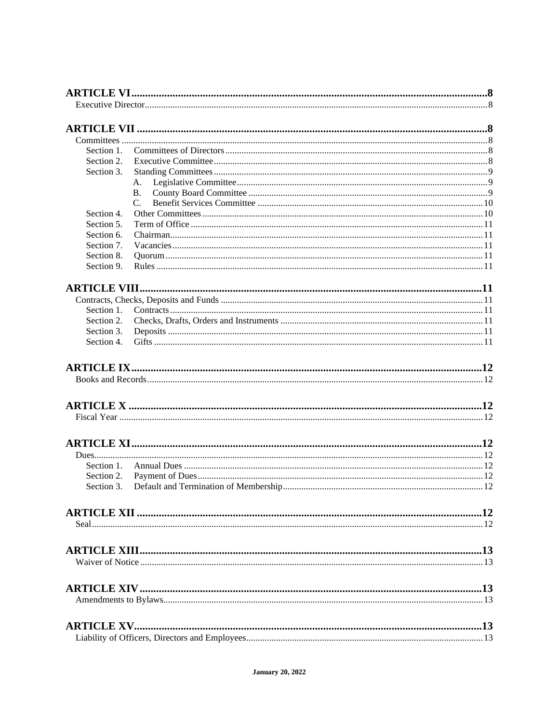| Section 1. |                |  |
|------------|----------------|--|
| Section 2. |                |  |
| Section 3. |                |  |
|            | А.             |  |
|            | B <sub>1</sub> |  |
|            | $\mathcal{C}$  |  |
| Section 4. |                |  |
| Section 5. |                |  |
| Section 6. |                |  |
| Section 7. |                |  |
| Section 8. |                |  |
| Section 9. |                |  |
|            |                |  |
|            |                |  |
|            |                |  |
| Section 1. |                |  |
| Section 2. |                |  |
| Section 3. |                |  |
| Section 4. |                |  |
|            |                |  |
|            |                |  |
|            |                |  |
|            |                |  |
|            |                |  |
|            |                |  |
| Section 1. |                |  |
| Section 2. |                |  |
| Section 3. |                |  |
|            |                |  |
|            |                |  |
|            |                |  |
|            |                |  |
|            |                |  |
|            |                |  |
|            |                |  |
|            |                |  |
|            |                |  |
|            |                |  |
|            |                |  |
|            |                |  |
|            |                |  |
|            |                |  |
|            |                |  |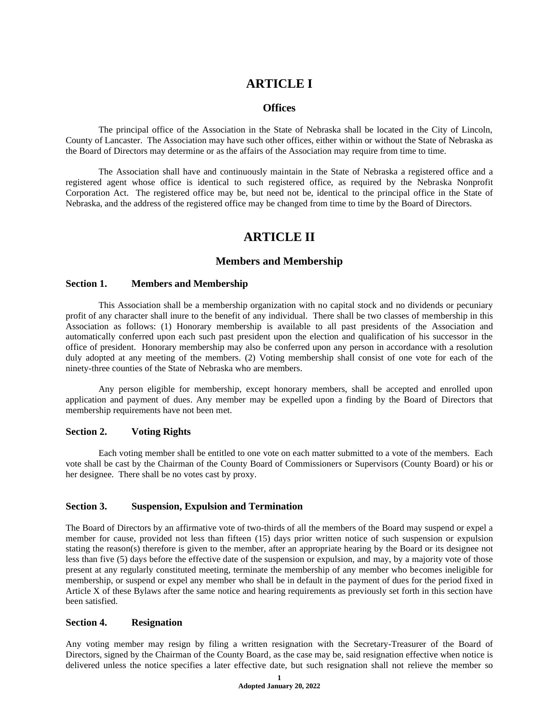# **ARTICLE I**

# **Offices**

The principal office of the Association in the State of Nebraska shall be located in the City of Lincoln, County of Lancaster. The Association may have such other offices, either within or without the State of Nebraska as the Board of Directors may determine or as the affairs of the Association may require from time to time.

The Association shall have and continuously maintain in the State of Nebraska a registered office and a registered agent whose office is identical to such registered office, as required by the Nebraska Nonprofit Corporation Act. The registered office may be, but need not be, identical to the principal office in the State of Nebraska, and the address of the registered office may be changed from time to time by the Board of Directors.

# **ARTICLE II**

# **Members and Membership**

## **Section 1. Members and Membership**

This Association shall be a membership organization with no capital stock and no dividends or pecuniary profit of any character shall inure to the benefit of any individual. There shall be two classes of membership in this Association as follows: (1) Honorary membership is available to all past presidents of the Association and automatically conferred upon each such past president upon the election and qualification of his successor in the office of president. Honorary membership may also be conferred upon any person in accordance with a resolution duly adopted at any meeting of the members. (2) Voting membership shall consist of one vote for each of the ninety-three counties of the State of Nebraska who are members.

Any person eligible for membership, except honorary members, shall be accepted and enrolled upon application and payment of dues. Any member may be expelled upon a finding by the Board of Directors that membership requirements have not been met.

## **Section 2. Voting Rights**

Each voting member shall be entitled to one vote on each matter submitted to a vote of the members. Each vote shall be cast by the Chairman of the County Board of Commissioners or Supervisors (County Board) or his or her designee. There shall be no votes cast by proxy.

## **Section 3. Suspension, Expulsion and Termination**

The Board of Directors by an affirmative vote of two-thirds of all the members of the Board may suspend or expel a member for cause, provided not less than fifteen (15) days prior written notice of such suspension or expulsion stating the reason(s) therefore is given to the member, after an appropriate hearing by the Board or its designee not less than five (5) days before the effective date of the suspension or expulsion, and may, by a majority vote of those present at any regularly constituted meeting, terminate the membership of any member who becomes ineligible for membership, or suspend or expel any member who shall be in default in the payment of dues for the period fixed in Article X of these Bylaws after the same notice and hearing requirements as previously set forth in this section have been satisfied.

# **Section 4. Resignation**

Any voting member may resign by filing a written resignation with the Secretary-Treasurer of the Board of Directors, signed by the Chairman of the County Board, as the case may be, said resignation effective when notice is delivered unless the notice specifies a later effective date, but such resignation shall not relieve the member so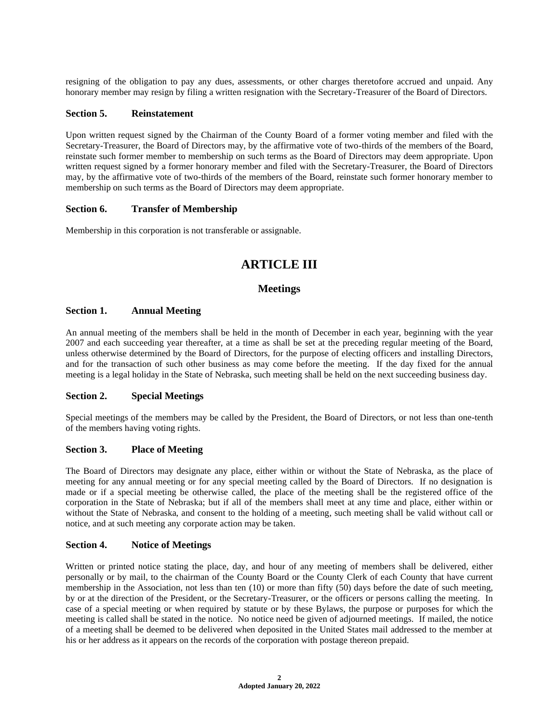resigning of the obligation to pay any dues, assessments, or other charges theretofore accrued and unpaid. Any honorary member may resign by filing a written resignation with the Secretary-Treasurer of the Board of Directors.

#### **Section 5. Reinstatement**

Upon written request signed by the Chairman of the County Board of a former voting member and filed with the Secretary-Treasurer, the Board of Directors may, by the affirmative vote of two-thirds of the members of the Board, reinstate such former member to membership on such terms as the Board of Directors may deem appropriate. Upon written request signed by a former honorary member and filed with the Secretary-Treasurer, the Board of Directors may, by the affirmative vote of two-thirds of the members of the Board, reinstate such former honorary member to membership on such terms as the Board of Directors may deem appropriate.

#### **Section 6. Transfer of Membership**

Membership in this corporation is not transferable or assignable.

# **ARTICLE III**

# **Meetings**

#### **Section 1. Annual Meeting**

An annual meeting of the members shall be held in the month of December in each year, beginning with the year 2007 and each succeeding year thereafter, at a time as shall be set at the preceding regular meeting of the Board, unless otherwise determined by the Board of Directors, for the purpose of electing officers and installing Directors, and for the transaction of such other business as may come before the meeting. If the day fixed for the annual meeting is a legal holiday in the State of Nebraska, such meeting shall be held on the next succeeding business day.

#### **Section 2. Special Meetings**

Special meetings of the members may be called by the President, the Board of Directors, or not less than one-tenth of the members having voting rights.

#### **Section 3. Place of Meeting**

The Board of Directors may designate any place, either within or without the State of Nebraska, as the place of meeting for any annual meeting or for any special meeting called by the Board of Directors. If no designation is made or if a special meeting be otherwise called, the place of the meeting shall be the registered office of the corporation in the State of Nebraska; but if all of the members shall meet at any time and place, either within or without the State of Nebraska, and consent to the holding of a meeting, such meeting shall be valid without call or notice, and at such meeting any corporate action may be taken.

#### **Section 4. Notice of Meetings**

Written or printed notice stating the place, day, and hour of any meeting of members shall be delivered, either personally or by mail, to the chairman of the County Board or the County Clerk of each County that have current membership in the Association, not less than ten (10) or more than fifty (50) days before the date of such meeting, by or at the direction of the President, or the Secretary-Treasurer, or the officers or persons calling the meeting. In case of a special meeting or when required by statute or by these Bylaws, the purpose or purposes for which the meeting is called shall be stated in the notice. No notice need be given of adjourned meetings. If mailed, the notice of a meeting shall be deemed to be delivered when deposited in the United States mail addressed to the member at his or her address as it appears on the records of the corporation with postage thereon prepaid.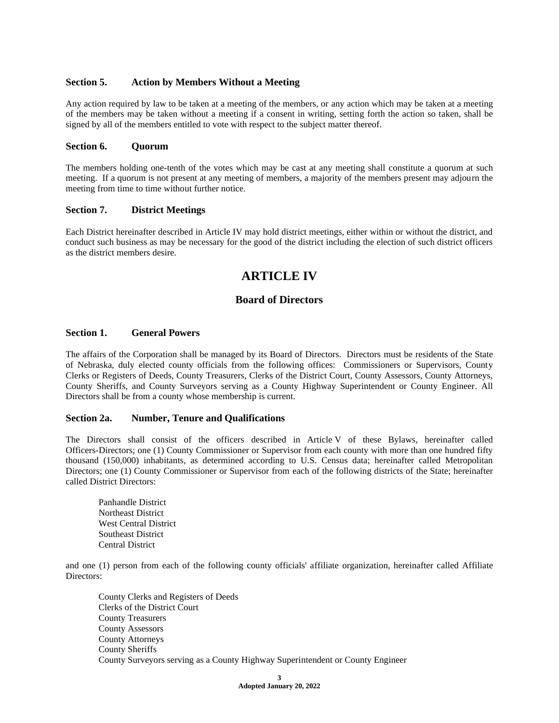## **Section 5. Action by Members Without a Meeting**

Any action required by law to be taken at a meeting of the members, or any action which may be taken at a meeting of the members may be taken without a meeting if a consent in writing, setting forth the action so taken, shall be signed by all of the members entitled to vote with respect to the subject matter thereof.

# **Section 6. Quorum**

The members holding one-tenth of the votes which may be cast at any meeting shall constitute a quorum at such meeting. If a quorum is not present at any meeting of members, a majority of the members present may adjourn the meeting from time to time without further notice.

## **Section 7. District Meetings**

Each District hereinafter described in Article IV may hold district meetings, either within or without the district, and conduct such business as may be necessary for the good of the district including the election of such district officers as the district members desire.

# **ARTICLE IV**

# **Board of Directors**

# **Section 1. General Powers**

The affairs of the Corporation shall be managed by its Board of Directors. Directors must be residents of the State of Nebraska, duly elected county officials from the following offices: Commissioners or Supervisors, County Clerks or Registers of Deeds, County Treasurers, Clerks of the District Court, County Assessors, County Attorneys, County Sheriffs, and County Surveyors serving as a County Highway Superintendent or County Engineer. All Directors shall be from a county whose membership is current.

## **Section 2a. Number, Tenure and Qualifications**

The Directors shall consist of the officers described in Article V of these Bylaws, hereinafter called Officers-Directors; one (1) County Commissioner or Supervisor from each county with more than one hundred fifty thousand (150,000) inhabitants, as determined according to U.S. Census data; hereinafter called Metropolitan Directors; one (1) County Commissioner or Supervisor from each of the following districts of the State; hereinafter called District Directors:

Panhandle District Northeast District West Central District Southeast District Central District

and one (1) person from each of the following county officials' affiliate organization, hereinafter called Affiliate Directors:

County Clerks and Registers of Deeds Clerks of the District Court County Treasurers County Assessors County Attorneys County Sheriffs County Surveyors serving as a County Highway Superintendent or County Engineer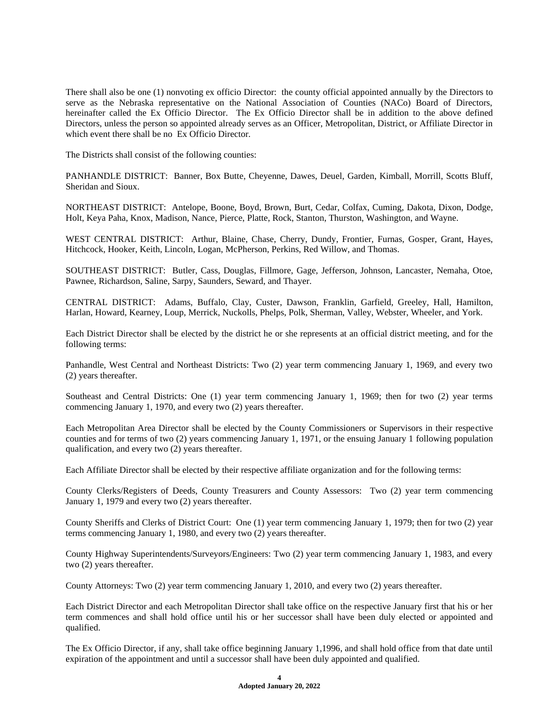There shall also be one (1) nonvoting ex officio Director: the county official appointed annually by the Directors to serve as the Nebraska representative on the National Association of Counties (NACo) Board of Directors, hereinafter called the Ex Officio Director. The Ex Officio Director shall be in addition to the above defined Directors, unless the person so appointed already serves as an Officer, Metropolitan, District, or Affiliate Director in which event there shall be no Ex Officio Director.

The Districts shall consist of the following counties:

PANHANDLE DISTRICT: Banner, Box Butte, Cheyenne, Dawes, Deuel, Garden, Kimball, Morrill, Scotts Bluff, Sheridan and Sioux.

NORTHEAST DISTRICT: Antelope, Boone, Boyd, Brown, Burt, Cedar, Colfax, Cuming, Dakota, Dixon, Dodge, Holt, Keya Paha, Knox, Madison, Nance, Pierce, Platte, Rock, Stanton, Thurston, Washington, and Wayne.

WEST CENTRAL DISTRICT: Arthur, Blaine, Chase, Cherry, Dundy, Frontier, Furnas, Gosper, Grant, Hayes, Hitchcock, Hooker, Keith, Lincoln, Logan, McPherson, Perkins, Red Willow, and Thomas.

SOUTHEAST DISTRICT: Butler, Cass, Douglas, Fillmore, Gage, Jefferson, Johnson, Lancaster, Nemaha, Otoe, Pawnee, Richardson, Saline, Sarpy, Saunders, Seward, and Thayer.

CENTRAL DISTRICT: Adams, Buffalo, Clay, Custer, Dawson, Franklin, Garfield, Greeley, Hall, Hamilton, Harlan, Howard, Kearney, Loup, Merrick, Nuckolls, Phelps, Polk, Sherman, Valley, Webster, Wheeler, and York.

Each District Director shall be elected by the district he or she represents at an official district meeting, and for the following terms:

Panhandle, West Central and Northeast Districts: Two (2) year term commencing January 1, 1969, and every two (2) years thereafter.

Southeast and Central Districts: One (1) year term commencing January 1, 1969; then for two (2) year terms commencing January 1, 1970, and every two (2) years thereafter.

Each Metropolitan Area Director shall be elected by the County Commissioners or Supervisors in their respective counties and for terms of two (2) years commencing January 1, 1971, or the ensuing January 1 following population qualification, and every two (2) years thereafter.

Each Affiliate Director shall be elected by their respective affiliate organization and for the following terms:

County Clerks/Registers of Deeds, County Treasurers and County Assessors: Two (2) year term commencing January 1, 1979 and every two (2) years thereafter.

County Sheriffs and Clerks of District Court: One (1) year term commencing January 1, 1979; then for two (2) year terms commencing January 1, 1980, and every two (2) years thereafter.

County Highway Superintendents/Surveyors/Engineers: Two (2) year term commencing January 1, 1983, and every two (2) years thereafter.

County Attorneys: Two (2) year term commencing January 1, 2010, and every two (2) years thereafter.

Each District Director and each Metropolitan Director shall take office on the respective January first that his or her term commences and shall hold office until his or her successor shall have been duly elected or appointed and qualified.

The Ex Officio Director, if any, shall take office beginning January 1,1996, and shall hold office from that date until expiration of the appointment and until a successor shall have been duly appointed and qualified.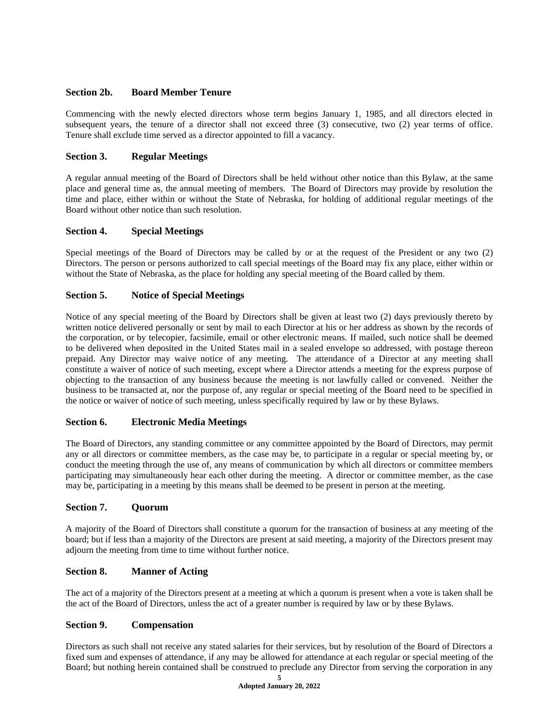# **Section 2b. Board Member Tenure**

Commencing with the newly elected directors whose term begins January 1, 1985, and all directors elected in subsequent years, the tenure of a director shall not exceed three (3) consecutive, two (2) year terms of office. Tenure shall exclude time served as a director appointed to fill a vacancy.

# **Section 3. Regular Meetings**

A regular annual meeting of the Board of Directors shall be held without other notice than this Bylaw, at the same place and general time as, the annual meeting of members. The Board of Directors may provide by resolution the time and place, either within or without the State of Nebraska, for holding of additional regular meetings of the Board without other notice than such resolution.

# **Section 4. Special Meetings**

Special meetings of the Board of Directors may be called by or at the request of the President or any two (2) Directors. The person or persons authorized to call special meetings of the Board may fix any place, either within or without the State of Nebraska, as the place for holding any special meeting of the Board called by them.

# **Section 5. Notice of Special Meetings**

Notice of any special meeting of the Board by Directors shall be given at least two (2) days previously thereto by written notice delivered personally or sent by mail to each Director at his or her address as shown by the records of the corporation, or by telecopier, facsimile, email or other electronic means. If mailed, such notice shall be deemed to be delivered when deposited in the United States mail in a sealed envelope so addressed, with postage thereon prepaid. Any Director may waive notice of any meeting. The attendance of a Director at any meeting shall constitute a waiver of notice of such meeting, except where a Director attends a meeting for the express purpose of objecting to the transaction of any business because the meeting is not lawfully called or convened. Neither the business to be transacted at, nor the purpose of, any regular or special meeting of the Board need to be specified in the notice or waiver of notice of such meeting, unless specifically required by law or by these Bylaws.

## **Section 6. Electronic Media Meetings**

The Board of Directors, any standing committee or any committee appointed by the Board of Directors, may permit any or all directors or committee members, as the case may be, to participate in a regular or special meeting by, or conduct the meeting through the use of, any means of communication by which all directors or committee members participating may simultaneously hear each other during the meeting. A director or committee member, as the case may be, participating in a meeting by this means shall be deemed to be present in person at the meeting.

## **Section 7. Quorum**

A majority of the Board of Directors shall constitute a quorum for the transaction of business at any meeting of the board; but if less than a majority of the Directors are present at said meeting, a majority of the Directors present may adjourn the meeting from time to time without further notice.

## **Section 8. Manner of Acting**

The act of a majority of the Directors present at a meeting at which a quorum is present when a vote is taken shall be the act of the Board of Directors, unless the act of a greater number is required by law or by these Bylaws.

## **Section 9. Compensation**

Directors as such shall not receive any stated salaries for their services, but by resolution of the Board of Directors a fixed sum and expenses of attendance, if any may be allowed for attendance at each regular or special meeting of the Board; but nothing herein contained shall be construed to preclude any Director from serving the corporation in any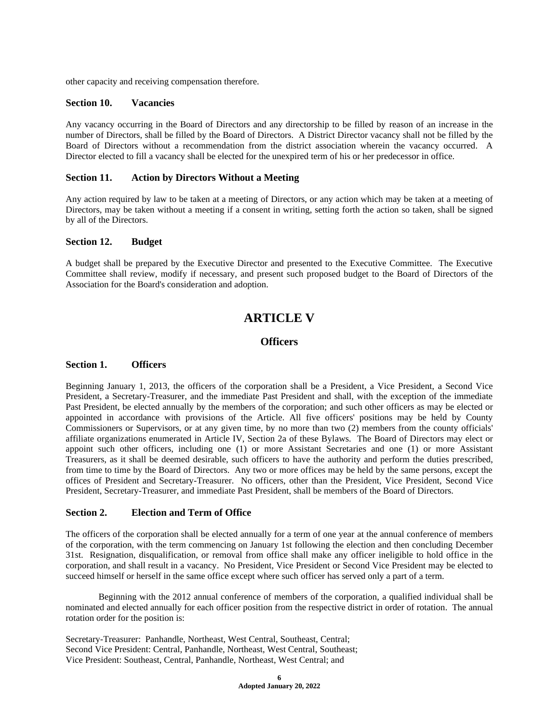other capacity and receiving compensation therefore.

## **Section 10. Vacancies**

Any vacancy occurring in the Board of Directors and any directorship to be filled by reason of an increase in the number of Directors, shall be filled by the Board of Directors. A District Director vacancy shall not be filled by the Board of Directors without a recommendation from the district association wherein the vacancy occurred. A Director elected to fill a vacancy shall be elected for the unexpired term of his or her predecessor in office.

## **Section 11. Action by Directors Without a Meeting**

Any action required by law to be taken at a meeting of Directors, or any action which may be taken at a meeting of Directors, may be taken without a meeting if a consent in writing, setting forth the action so taken, shall be signed by all of the Directors.

#### **Section 12. Budget**

A budget shall be prepared by the Executive Director and presented to the Executive Committee. The Executive Committee shall review, modify if necessary, and present such proposed budget to the Board of Directors of the Association for the Board's consideration and adoption.

# **ARTICLE V**

# **Officers**

## **Section 1. Officers**

Beginning January 1, 2013, the officers of the corporation shall be a President, a Vice President, a Second Vice President, a Secretary-Treasurer, and the immediate Past President and shall, with the exception of the immediate Past President, be elected annually by the members of the corporation; and such other officers as may be elected or appointed in accordance with provisions of the Article. All five officers' positions may be held by County Commissioners or Supervisors, or at any given time, by no more than two (2) members from the county officials' affiliate organizations enumerated in Article IV, Section 2a of these Bylaws. The Board of Directors may elect or appoint such other officers, including one (1) or more Assistant Secretaries and one (1) or more Assistant Treasurers, as it shall be deemed desirable, such officers to have the authority and perform the duties prescribed, from time to time by the Board of Directors. Any two or more offices may be held by the same persons, except the offices of President and Secretary-Treasurer. No officers, other than the President, Vice President, Second Vice President, Secretary-Treasurer, and immediate Past President, shall be members of the Board of Directors.

## **Section 2. Election and Term of Office**

The officers of the corporation shall be elected annually for a term of one year at the annual conference of members of the corporation, with the term commencing on January 1st following the election and then concluding December 31st. Resignation, disqualification, or removal from office shall make any officer ineligible to hold office in the corporation, and shall result in a vacancy. No President, Vice President or Second Vice President may be elected to succeed himself or herself in the same office except where such officer has served only a part of a term.

Beginning with the 2012 annual conference of members of the corporation, a qualified individual shall be nominated and elected annually for each officer position from the respective district in order of rotation. The annual rotation order for the position is:

Secretary-Treasurer: Panhandle, Northeast, West Central, Southeast, Central; Second Vice President: Central, Panhandle, Northeast, West Central, Southeast; Vice President: Southeast, Central, Panhandle, Northeast, West Central; and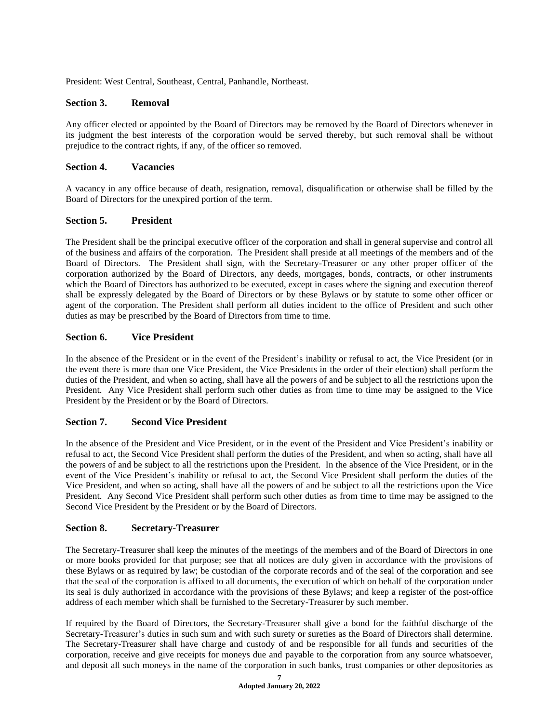President: West Central, Southeast, Central, Panhandle, Northeast.

## **Section 3. Removal**

Any officer elected or appointed by the Board of Directors may be removed by the Board of Directors whenever in its judgment the best interests of the corporation would be served thereby, but such removal shall be without prejudice to the contract rights, if any, of the officer so removed.

## **Section 4. Vacancies**

A vacancy in any office because of death, resignation, removal, disqualification or otherwise shall be filled by the Board of Directors for the unexpired portion of the term.

# **Section 5. President**

The President shall be the principal executive officer of the corporation and shall in general supervise and control all of the business and affairs of the corporation. The President shall preside at all meetings of the members and of the Board of Directors. The President shall sign, with the Secretary-Treasurer or any other proper officer of the corporation authorized by the Board of Directors, any deeds, mortgages, bonds, contracts, or other instruments which the Board of Directors has authorized to be executed, except in cases where the signing and execution thereof shall be expressly delegated by the Board of Directors or by these Bylaws or by statute to some other officer or agent of the corporation. The President shall perform all duties incident to the office of President and such other duties as may be prescribed by the Board of Directors from time to time.

# **Section 6. Vice President**

In the absence of the President or in the event of the President's inability or refusal to act, the Vice President (or in the event there is more than one Vice President, the Vice Presidents in the order of their election) shall perform the duties of the President, and when so acting, shall have all the powers of and be subject to all the restrictions upon the President. Any Vice President shall perform such other duties as from time to time may be assigned to the Vice President by the President or by the Board of Directors.

# **Section 7. Second Vice President**

In the absence of the President and Vice President, or in the event of the President and Vice President's inability or refusal to act, the Second Vice President shall perform the duties of the President, and when so acting, shall have all the powers of and be subject to all the restrictions upon the President. In the absence of the Vice President, or in the event of the Vice President's inability or refusal to act, the Second Vice President shall perform the duties of the Vice President, and when so acting, shall have all the powers of and be subject to all the restrictions upon the Vice President. Any Second Vice President shall perform such other duties as from time to time may be assigned to the Second Vice President by the President or by the Board of Directors.

## **Section 8. Secretary-Treasurer**

The Secretary-Treasurer shall keep the minutes of the meetings of the members and of the Board of Directors in one or more books provided for that purpose; see that all notices are duly given in accordance with the provisions of these Bylaws or as required by law; be custodian of the corporate records and of the seal of the corporation and see that the seal of the corporation is affixed to all documents, the execution of which on behalf of the corporation under its seal is duly authorized in accordance with the provisions of these Bylaws; and keep a register of the post-office address of each member which shall be furnished to the Secretary-Treasurer by such member.

If required by the Board of Directors, the Secretary-Treasurer shall give a bond for the faithful discharge of the Secretary-Treasurer's duties in such sum and with such surety or sureties as the Board of Directors shall determine. The Secretary-Treasurer shall have charge and custody of and be responsible for all funds and securities of the corporation, receive and give receipts for moneys due and payable to the corporation from any source whatsoever, and deposit all such moneys in the name of the corporation in such banks, trust companies or other depositories as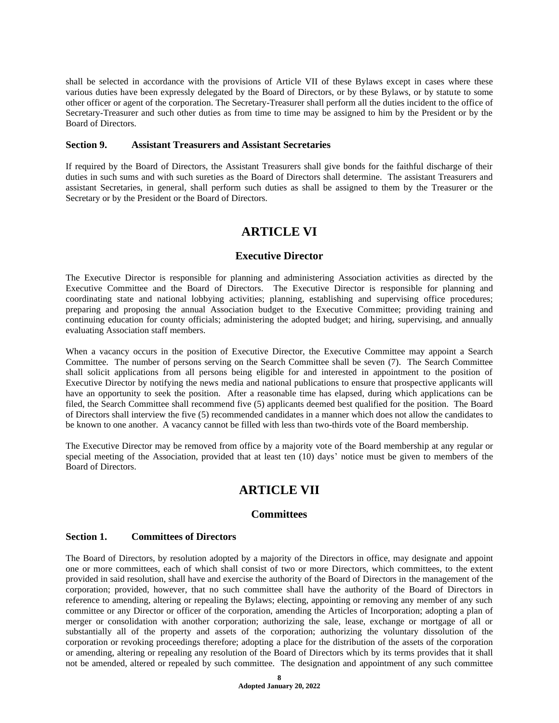shall be selected in accordance with the provisions of Article VII of these Bylaws except in cases where these various duties have been expressly delegated by the Board of Directors, or by these Bylaws, or by statute to some other officer or agent of the corporation. The Secretary-Treasurer shall perform all the duties incident to the office of Secretary-Treasurer and such other duties as from time to time may be assigned to him by the President or by the Board of Directors.

## **Section 9. Assistant Treasurers and Assistant Secretaries**

If required by the Board of Directors, the Assistant Treasurers shall give bonds for the faithful discharge of their duties in such sums and with such sureties as the Board of Directors shall determine. The assistant Treasurers and assistant Secretaries, in general, shall perform such duties as shall be assigned to them by the Treasurer or the Secretary or by the President or the Board of Directors.

# **ARTICLE VI**

# **Executive Director**

The Executive Director is responsible for planning and administering Association activities as directed by the Executive Committee and the Board of Directors. The Executive Director is responsible for planning and coordinating state and national lobbying activities; planning, establishing and supervising office procedures; preparing and proposing the annual Association budget to the Executive Committee; providing training and continuing education for county officials; administering the adopted budget; and hiring, supervising, and annually evaluating Association staff members.

When a vacancy occurs in the position of Executive Director, the Executive Committee may appoint a Search Committee. The number of persons serving on the Search Committee shall be seven (7). The Search Committee shall solicit applications from all persons being eligible for and interested in appointment to the position of Executive Director by notifying the news media and national publications to ensure that prospective applicants will have an opportunity to seek the position. After a reasonable time has elapsed, during which applications can be filed, the Search Committee shall recommend five (5) applicants deemed best qualified for the position. The Board of Directors shall interview the five (5) recommended candidates in a manner which does not allow the candidates to be known to one another. A vacancy cannot be filled with less than two-thirds vote of the Board membership.

The Executive Director may be removed from office by a majority vote of the Board membership at any regular or special meeting of the Association, provided that at least ten (10) days' notice must be given to members of the Board of Directors.

# **ARTICLE VII**

## **Committees**

## **Section 1. Committees of Directors**

The Board of Directors, by resolution adopted by a majority of the Directors in office, may designate and appoint one or more committees, each of which shall consist of two or more Directors, which committees, to the extent provided in said resolution, shall have and exercise the authority of the Board of Directors in the management of the corporation; provided, however, that no such committee shall have the authority of the Board of Directors in reference to amending, altering or repealing the Bylaws; electing, appointing or removing any member of any such committee or any Director or officer of the corporation, amending the Articles of Incorporation; adopting a plan of merger or consolidation with another corporation; authorizing the sale, lease, exchange or mortgage of all or substantially all of the property and assets of the corporation; authorizing the voluntary dissolution of the corporation or revoking proceedings therefore; adopting a place for the distribution of the assets of the corporation or amending, altering or repealing any resolution of the Board of Directors which by its terms provides that it shall not be amended, altered or repealed by such committee. The designation and appointment of any such committee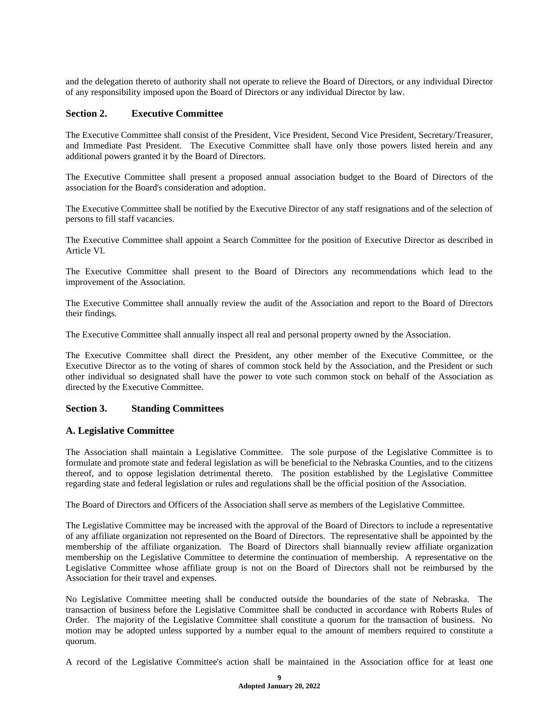and the delegation thereto of authority shall not operate to relieve the Board of Directors, or any individual Director of any responsibility imposed upon the Board of Directors or any individual Director by law.

## **Section 2. Executive Committee**

The Executive Committee shall consist of the President, Vice President, Second Vice President, Secretary/Treasurer, and Immediate Past President. The Executive Committee shall have only those powers listed herein and any additional powers granted it by the Board of Directors.

The Executive Committee shall present a proposed annual association budget to the Board of Directors of the association for the Board's consideration and adoption.

The Executive Committee shall be notified by the Executive Director of any staff resignations and of the selection of persons to fill staff vacancies.

The Executive Committee shall appoint a Search Committee for the position of Executive Director as described in Article VI.

The Executive Committee shall present to the Board of Directors any recommendations which lead to the improvement of the Association.

The Executive Committee shall annually review the audit of the Association and report to the Board of Directors their findings.

The Executive Committee shall annually inspect all real and personal property owned by the Association.

The Executive Committee shall direct the President, any other member of the Executive Committee, or the Executive Director as to the voting of shares of common stock held by the Association, and the President or such other individual so designated shall have the power to vote such common stock on behalf of the Association as directed by the Executive Committee.

## **Section 3. Standing Committees**

## **A. Legislative Committee**

The Association shall maintain a Legislative Committee. The sole purpose of the Legislative Committee is to formulate and promote state and federal legislation as will be beneficial to the Nebraska Counties, and to the citizens thereof, and to oppose legislation detrimental thereto. The position established by the Legislative Committee regarding state and federal legislation or rules and regulations shall be the official position of the Association.

The Board of Directors and Officers of the Association shall serve as members of the Legislative Committee.

The Legislative Committee may be increased with the approval of the Board of Directors to include a representative of any affiliate organization not represented on the Board of Directors. The representative shall be appointed by the membership of the affiliate organization. The Board of Directors shall biannually review affiliate organization membership on the Legislative Committee to determine the continuation of membership. A representative on the Legislative Committee whose affiliate group is not on the Board of Directors shall not be reimbursed by the Association for their travel and expenses.

No Legislative Committee meeting shall be conducted outside the boundaries of the state of Nebraska. The transaction of business before the Legislative Committee shall be conducted in accordance with Roberts Rules of Order. The majority of the Legislative Committee shall constitute a quorum for the transaction of business. No motion may be adopted unless supported by a number equal to the amount of members required to constitute a quorum.

A record of the Legislative Committee's action shall be maintained in the Association office for at least one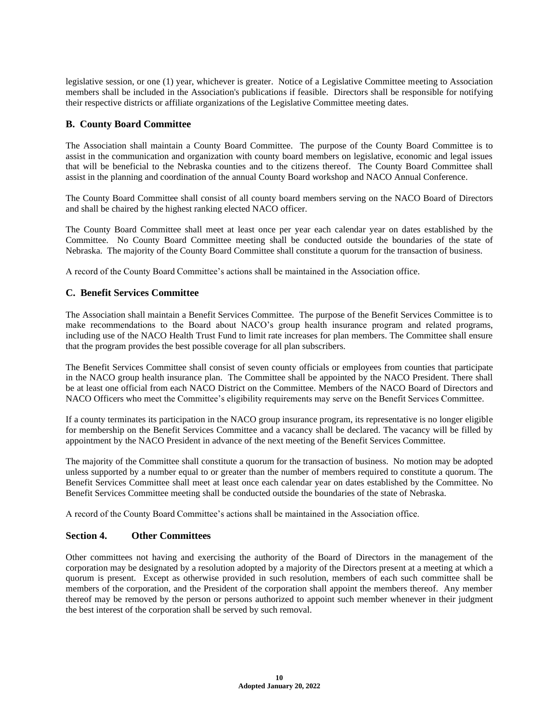legislative session, or one (1) year, whichever is greater. Notice of a Legislative Committee meeting to Association members shall be included in the Association's publications if feasible. Directors shall be responsible for notifying their respective districts or affiliate organizations of the Legislative Committee meeting dates.

# **B. County Board Committee**

The Association shall maintain a County Board Committee. The purpose of the County Board Committee is to assist in the communication and organization with county board members on legislative, economic and legal issues that will be beneficial to the Nebraska counties and to the citizens thereof. The County Board Committee shall assist in the planning and coordination of the annual County Board workshop and NACO Annual Conference.

The County Board Committee shall consist of all county board members serving on the NACO Board of Directors and shall be chaired by the highest ranking elected NACO officer.

The County Board Committee shall meet at least once per year each calendar year on dates established by the Committee. No County Board Committee meeting shall be conducted outside the boundaries of the state of Nebraska. The majority of the County Board Committee shall constitute a quorum for the transaction of business.

A record of the County Board Committee's actions shall be maintained in the Association office.

# **C. Benefit Services Committee**

The Association shall maintain a Benefit Services Committee. The purpose of the Benefit Services Committee is to make recommendations to the Board about NACO's group health insurance program and related programs, including use of the NACO Health Trust Fund to limit rate increases for plan members. The Committee shall ensure that the program provides the best possible coverage for all plan subscribers.

The Benefit Services Committee shall consist of seven county officials or employees from counties that participate in the NACO group health insurance plan. The Committee shall be appointed by the NACO President. There shall be at least one official from each NACO District on the Committee. Members of the NACO Board of Directors and NACO Officers who meet the Committee's eligibility requirements may serve on the Benefit Services Committee.

If a county terminates its participation in the NACO group insurance program, its representative is no longer eligible for membership on the Benefit Services Committee and a vacancy shall be declared. The vacancy will be filled by appointment by the NACO President in advance of the next meeting of the Benefit Services Committee.

The majority of the Committee shall constitute a quorum for the transaction of business. No motion may be adopted unless supported by a number equal to or greater than the number of members required to constitute a quorum. The Benefit Services Committee shall meet at least once each calendar year on dates established by the Committee. No Benefit Services Committee meeting shall be conducted outside the boundaries of the state of Nebraska.

A record of the County Board Committee's actions shall be maintained in the Association office.

# **Section 4. Other Committees**

Other committees not having and exercising the authority of the Board of Directors in the management of the corporation may be designated by a resolution adopted by a majority of the Directors present at a meeting at which a quorum is present. Except as otherwise provided in such resolution, members of each such committee shall be members of the corporation, and the President of the corporation shall appoint the members thereof. Any member thereof may be removed by the person or persons authorized to appoint such member whenever in their judgment the best interest of the corporation shall be served by such removal.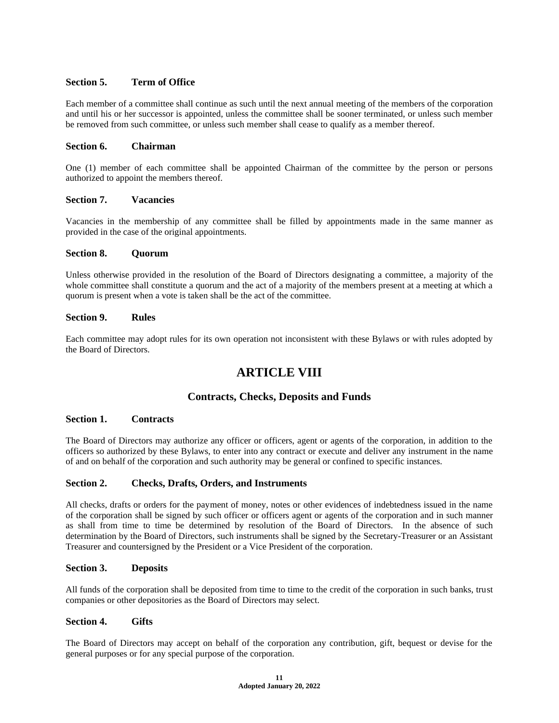# **Section 5. Term of Office**

Each member of a committee shall continue as such until the next annual meeting of the members of the corporation and until his or her successor is appointed, unless the committee shall be sooner terminated, or unless such member be removed from such committee, or unless such member shall cease to qualify as a member thereof.

## **Section 6. Chairman**

One (1) member of each committee shall be appointed Chairman of the committee by the person or persons authorized to appoint the members thereof.

## **Section 7. Vacancies**

Vacancies in the membership of any committee shall be filled by appointments made in the same manner as provided in the case of the original appointments.

## **Section 8. Quorum**

Unless otherwise provided in the resolution of the Board of Directors designating a committee, a majority of the whole committee shall constitute a quorum and the act of a majority of the members present at a meeting at which a quorum is present when a vote is taken shall be the act of the committee.

# **Section 9. Rules**

Each committee may adopt rules for its own operation not inconsistent with these Bylaws or with rules adopted by the Board of Directors.

# **ARTICLE VIII**

# **Contracts, Checks, Deposits and Funds**

## **Section 1. Contracts**

The Board of Directors may authorize any officer or officers, agent or agents of the corporation, in addition to the officers so authorized by these Bylaws, to enter into any contract or execute and deliver any instrument in the name of and on behalf of the corporation and such authority may be general or confined to specific instances.

## **Section 2. Checks, Drafts, Orders, and Instruments**

All checks, drafts or orders for the payment of money, notes or other evidences of indebtedness issued in the name of the corporation shall be signed by such officer or officers agent or agents of the corporation and in such manner as shall from time to time be determined by resolution of the Board of Directors. In the absence of such determination by the Board of Directors, such instruments shall be signed by the Secretary-Treasurer or an Assistant Treasurer and countersigned by the President or a Vice President of the corporation.

## **Section 3. Deposits**

All funds of the corporation shall be deposited from time to time to the credit of the corporation in such banks, trust companies or other depositories as the Board of Directors may select.

## **Section 4. Gifts**

The Board of Directors may accept on behalf of the corporation any contribution, gift, bequest or devise for the general purposes or for any special purpose of the corporation.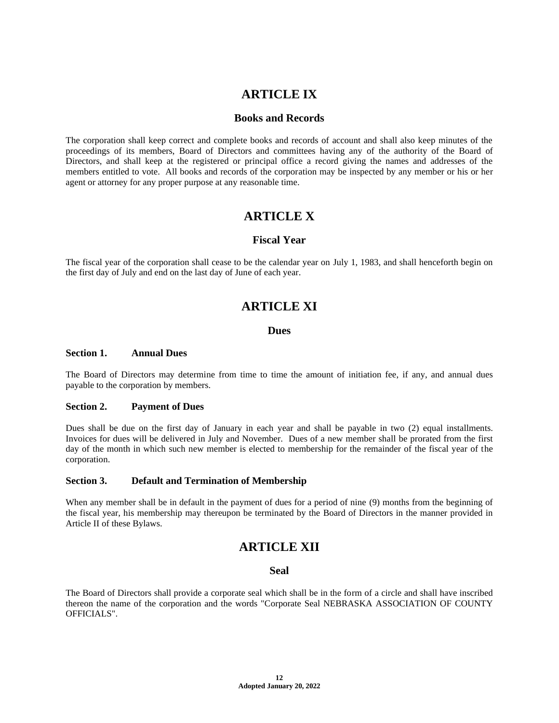# **ARTICLE IX**

# **Books and Records**

The corporation shall keep correct and complete books and records of account and shall also keep minutes of the proceedings of its members, Board of Directors and committees having any of the authority of the Board of Directors, and shall keep at the registered or principal office a record giving the names and addresses of the members entitled to vote. All books and records of the corporation may be inspected by any member or his or her agent or attorney for any proper purpose at any reasonable time.

# **ARTICLE X**

# **Fiscal Year**

The fiscal year of the corporation shall cease to be the calendar year on July 1, 1983, and shall henceforth begin on the first day of July and end on the last day of June of each year.

# **ARTICLE XI**

# **Dues**

## **Section 1. Annual Dues**

The Board of Directors may determine from time to time the amount of initiation fee, if any, and annual dues payable to the corporation by members.

#### **Section 2. Payment of Dues**

Dues shall be due on the first day of January in each year and shall be payable in two (2) equal installments. Invoices for dues will be delivered in July and November. Dues of a new member shall be prorated from the first day of the month in which such new member is elected to membership for the remainder of the fiscal year of the corporation.

#### **Section 3. Default and Termination of Membership**

When any member shall be in default in the payment of dues for a period of nine (9) months from the beginning of the fiscal year, his membership may thereupon be terminated by the Board of Directors in the manner provided in Article II of these Bylaws.

# **ARTICLE XII**

## **Seal**

The Board of Directors shall provide a corporate seal which shall be in the form of a circle and shall have inscribed thereon the name of the corporation and the words "Corporate Seal NEBRASKA ASSOCIATION OF COUNTY OFFICIALS".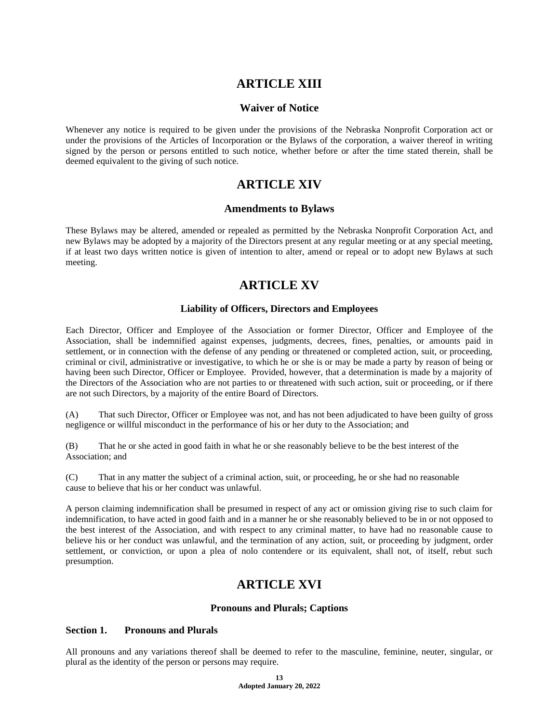# **ARTICLE XIII**

# **Waiver of Notice**

Whenever any notice is required to be given under the provisions of the Nebraska Nonprofit Corporation act or under the provisions of the Articles of Incorporation or the Bylaws of the corporation, a waiver thereof in writing signed by the person or persons entitled to such notice, whether before or after the time stated therein, shall be deemed equivalent to the giving of such notice.

# **ARTICLE XIV**

# **Amendments to Bylaws**

These Bylaws may be altered, amended or repealed as permitted by the Nebraska Nonprofit Corporation Act, and new Bylaws may be adopted by a majority of the Directors present at any regular meeting or at any special meeting, if at least two days written notice is given of intention to alter, amend or repeal or to adopt new Bylaws at such meeting.

# **ARTICLE XV**

# **Liability of Officers, Directors and Employees**

Each Director, Officer and Employee of the Association or former Director, Officer and Employee of the Association, shall be indemnified against expenses, judgments, decrees, fines, penalties, or amounts paid in settlement, or in connection with the defense of any pending or threatened or completed action, suit, or proceeding, criminal or civil, administrative or investigative, to which he or she is or may be made a party by reason of being or having been such Director, Officer or Employee. Provided, however, that a determination is made by a majority of the Directors of the Association who are not parties to or threatened with such action, suit or proceeding, or if there are not such Directors, by a majority of the entire Board of Directors.

(A) That such Director, Officer or Employee was not, and has not been adjudicated to have been guilty of gross negligence or willful misconduct in the performance of his or her duty to the Association; and

(B) That he or she acted in good faith in what he or she reasonably believe to be the best interest of the Association; and

(C) That in any matter the subject of a criminal action, suit, or proceeding, he or she had no reasonable cause to believe that his or her conduct was unlawful.

A person claiming indemnification shall be presumed in respect of any act or omission giving rise to such claim for indemnification, to have acted in good faith and in a manner he or she reasonably believed to be in or not opposed to the best interest of the Association, and with respect to any criminal matter, to have had no reasonable cause to believe his or her conduct was unlawful, and the termination of any action, suit, or proceeding by judgment, order settlement, or conviction, or upon a plea of nolo contendere or its equivalent, shall not, of itself, rebut such presumption.

# **ARTICLE XVI**

## **Pronouns and Plurals; Captions**

## **Section 1. Pronouns and Plurals**

All pronouns and any variations thereof shall be deemed to refer to the masculine, feminine, neuter, singular, or plural as the identity of the person or persons may require.